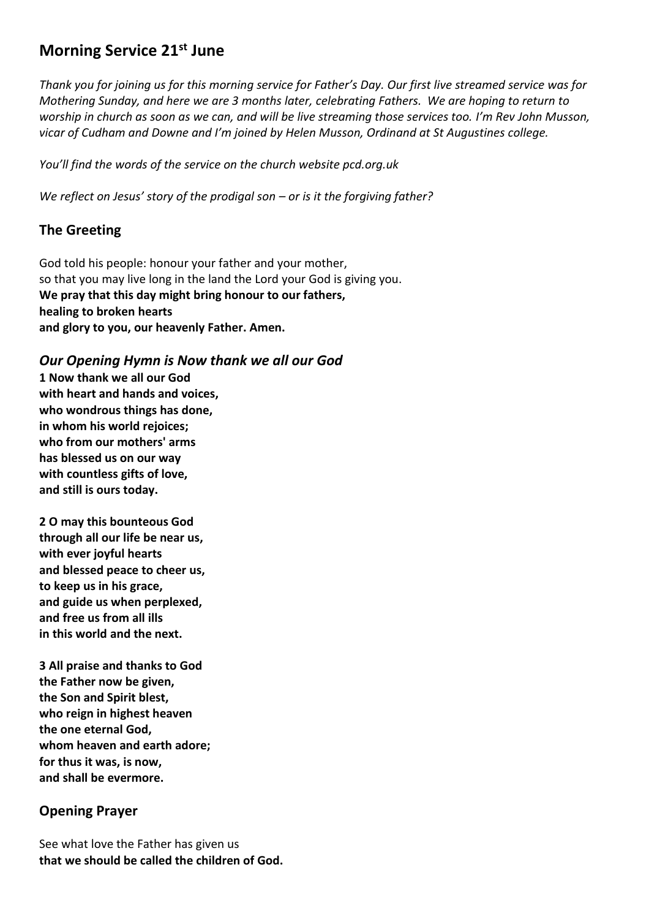## **Morning Service 21st June**

*Thank you for joining us for this morning service for Father's Day. Our first live streamed service was for Mothering Sunday, and here we are 3 months later, celebrating Fathers. We are hoping to return to worship in church as soon as we can, and will be live streaming those services too. I'm Rev John Musson, vicar of Cudham and Downe and I'm joined by Helen Musson, Ordinand at St Augustines college.* 

*You'll find the words of the service on the church website pcd.org.uk* 

*We reflect on Jesus' story of the prodigal son – or is it the forgiving father?*

### **The Greeting**

God told his people: honour your father and your mother, so that you may live long in the land the Lord your God is giving you. **We pray that this day might bring honour to our fathers, healing to broken hearts and glory to you, our heavenly Father. Amen.**

#### *Our Opening Hymn is Now thank we all our God*

**1 Now thank we all our God with heart and hands and voices, who wondrous things has done, in whom his world rejoices; who from our mothers' arms has blessed us on our way with countless gifts of love, and still is ours today.**

**2 O may this bounteous God through all our life be near us, with ever joyful hearts and blessed peace to cheer us, to keep us in his grace, and guide us when perplexed, and free us from all ills in this world and the next.**

**3 All praise and thanks to God the Father now be given, the Son and Spirit blest, who reign in highest heaven the one eternal God, whom heaven and earth adore; for thus it was, is now, and shall be evermore.**

#### **Opening Prayer**

See what love the Father has given us **that we should be called the children of God.**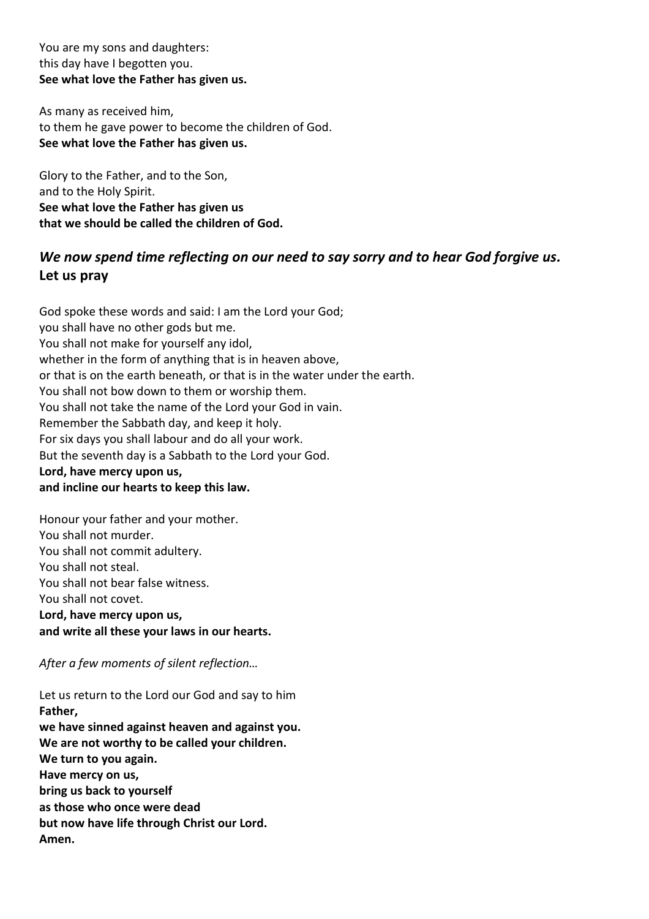You are my sons and daughters: this day have I begotten you. **See what love the Father has given us.**

As many as received him, to them he gave power to become the children of God. **See what love the Father has given us.**

Glory to the Father, and to the Son, and to the Holy Spirit. **See what love the Father has given us that we should be called the children of God.**

## *We now spend time reflecting on our need to say sorry and to hear God forgive us.* **Let us pray**

God spoke these words and said: I am the Lord your God; you shall have no other gods but me. You shall not make for yourself any idol, whether in the form of anything that is in heaven above, or that is on the earth beneath, or that is in the water under the earth. You shall not bow down to them or worship them. You shall not take the name of the Lord your God in vain. Remember the Sabbath day, and keep it holy. For six days you shall labour and do all your work. But the seventh day is a Sabbath to the Lord your God. **Lord, have mercy upon us, and incline our hearts to keep this law.**

Honour your father and your mother. You shall not murder. You shall not commit adultery. You shall not steal. You shall not bear false witness. You shall not covet. **Lord, have mercy upon us, and write all these your laws in our hearts.**

*After a few moments of silent reflection…*

Let us return to the Lord our God and say to him **Father, we have sinned against heaven and against you. We are not worthy to be called your children. We turn to you again. Have mercy on us, bring us back to yourself as those who once were dead but now have life through Christ our Lord. Amen.**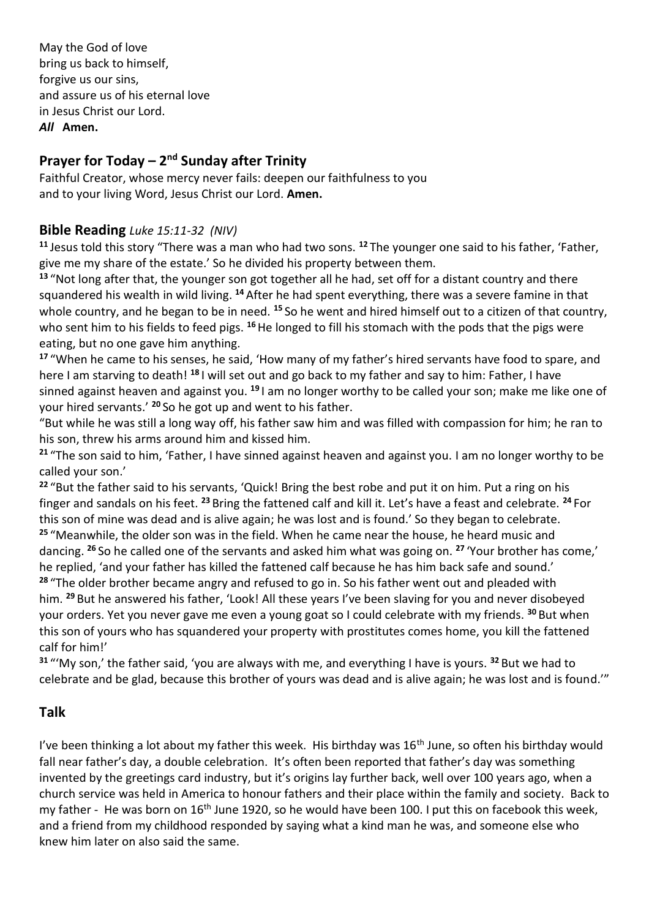May the God of love bring us back to himself, forgive us our sins, and assure us of his eternal love in Jesus Christ our Lord. *All* **Amen.**

# **Prayer for Today – 2 nd Sunday after Trinity**

Faithful Creator, whose mercy never fails: deepen our faithfulness to you and to your living Word, Jesus Christ our Lord. **Amen.**

### **Bible Reading** *Luke 15:11-32 (NIV)*

**<sup>11</sup>** Jesus told this story "There was a man who had two sons. **<sup>12</sup>** The younger one said to his father, 'Father, give me my share of the estate.' So he divided his property between them.

**<sup>13</sup>** "Not long after that, the younger son got together all he had, set off for a distant country and there squandered his wealth in wild living. **<sup>14</sup>** After he had spent everything, there was a severe famine in that whole country, and he began to be in need. **<sup>15</sup>** So he went and hired himself out to a citizen of that country, who sent him to his fields to feed pigs. <sup>16</sup>He longed to fill his stomach with the pods that the pigs were eating, but no one gave him anything.

**<sup>17</sup>** "When he came to his senses, he said, 'How many of my father's hired servants have food to spare, and here I am starving to death! **<sup>18</sup>** I will set out and go back to my father and say to him: Father, I have sinned against heaven and against you. **<sup>19</sup>** I am no longer worthy to be called your son; make me like one of your hired servants.' **<sup>20</sup>** So he got up and went to his father.

"But while he was still a long way off, his father saw him and was filled with compassion for him; he ran to his son, threw his arms around him and kissed him.

**<sup>21</sup>** "The son said to him, 'Father, I have sinned against heaven and against you. I am no longer worthy to be called your son.'

**<sup>22</sup>** "But the father said to his servants, 'Quick! Bring the best robe and put it on him. Put a ring on his finger and sandals on his feet. **<sup>23</sup>** Bring the fattened calf and kill it. Let's have a feast and celebrate. **<sup>24</sup>** For this son of mine was dead and is alive again; he was lost and is found.' So they began to celebrate. **<sup>25</sup>** "Meanwhile, the older son was in the field. When he came near the house, he heard music and dancing. **<sup>26</sup>** So he called one of the servants and asked him what was going on. **<sup>27</sup>** 'Your brother has come,' he replied, 'and your father has killed the fattened calf because he has him back safe and sound.' **<sup>28</sup>** "The older brother became angry and refused to go in. So his father went out and pleaded with him. **<sup>29</sup>** But he answered his father, 'Look! All these years I've been slaving for you and never disobeyed your orders. Yet you never gave me even a young goat so I could celebrate with my friends. **<sup>30</sup>** But when this son of yours who has squandered your property with prostitutes comes home, you kill the fattened calf for him!'

**<sup>31</sup>** "'My son,' the father said, 'you are always with me, and everything I have is yours. **<sup>32</sup>** But we had to celebrate and be glad, because this brother of yours was dead and is alive again; he was lost and is found.'"

### **Talk**

I've been thinking a lot about my father this week. His birthday was 16<sup>th</sup> June, so often his birthday would fall near father's day, a double celebration. It's often been reported that father's day was something invented by the greetings card industry, but it's origins lay further back, well over 100 years ago, when a church service was held in America to honour fathers and their place within the family and society. Back to my father - He was born on 16<sup>th</sup> June 1920, so he would have been 100. I put this on facebook this week, and a friend from my childhood responded by saying what a kind man he was, and someone else who knew him later on also said the same.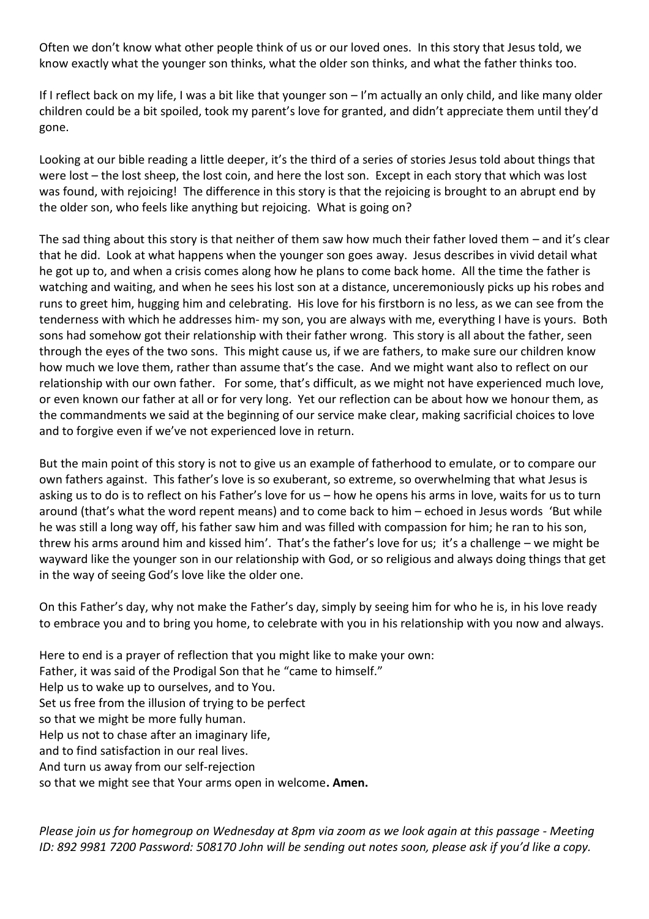Often we don't know what other people think of us or our loved ones. In this story that Jesus told, we know exactly what the younger son thinks, what the older son thinks, and what the father thinks too.

If I reflect back on my life, I was a bit like that younger son – I'm actually an only child, and like many older children could be a bit spoiled, took my parent's love for granted, and didn't appreciate them until they'd gone.

Looking at our bible reading a little deeper, it's the third of a series of stories Jesus told about things that were lost – the lost sheep, the lost coin, and here the lost son. Except in each story that which was lost was found, with rejoicing! The difference in this story is that the rejoicing is brought to an abrupt end by the older son, who feels like anything but rejoicing. What is going on?

The sad thing about this story is that neither of them saw how much their father loved them – and it's clear that he did. Look at what happens when the younger son goes away. Jesus describes in vivid detail what he got up to, and when a crisis comes along how he plans to come back home. All the time the father is watching and waiting, and when he sees his lost son at a distance, unceremoniously picks up his robes and runs to greet him, hugging him and celebrating. His love for his firstborn is no less, as we can see from the tenderness with which he addresses him- my son, you are always with me, everything I have is yours. Both sons had somehow got their relationship with their father wrong. This story is all about the father, seen through the eyes of the two sons. This might cause us, if we are fathers, to make sure our children know how much we love them, rather than assume that's the case. And we might want also to reflect on our relationship with our own father. For some, that's difficult, as we might not have experienced much love, or even known our father at all or for very long. Yet our reflection can be about how we honour them, as the commandments we said at the beginning of our service make clear, making sacrificial choices to love and to forgive even if we've not experienced love in return.

But the main point of this story is not to give us an example of fatherhood to emulate, or to compare our own fathers against. This father's love is so exuberant, so extreme, so overwhelming that what Jesus is asking us to do is to reflect on his Father's love for us – how he opens his arms in love, waits for us to turn around (that's what the word repent means) and to come back to him – echoed in Jesus words 'But while he was still a long way off, his father saw him and was filled with compassion for him; he ran to his son, threw his arms around him and kissed him'. That's the father's love for us; it's a challenge – we might be wayward like the younger son in our relationship with God, or so religious and always doing things that get in the way of seeing God's love like the older one.

On this Father's day, why not make the Father's day, simply by seeing him for who he is, in his love ready to embrace you and to bring you home, to celebrate with you in his relationship with you now and always.

Here to end is a prayer of reflection that you might like to make your own: Father, it was said of the Prodigal Son that he "came to himself." Help us to wake up to ourselves, and to You. Set us free from the illusion of trying to be perfect so that we might be more fully human. Help us not to chase after an imaginary life, and to find satisfaction in our real lives. And turn us away from our self-rejection so that we might see that Your arms open in welcome**. Amen.**

*Please join us for homegroup on Wednesday at 8pm via zoom as we look again at this passage - Meeting ID: 892 9981 7200 Password: 508170 John will be sending out notes soon, please ask if you'd like a copy.*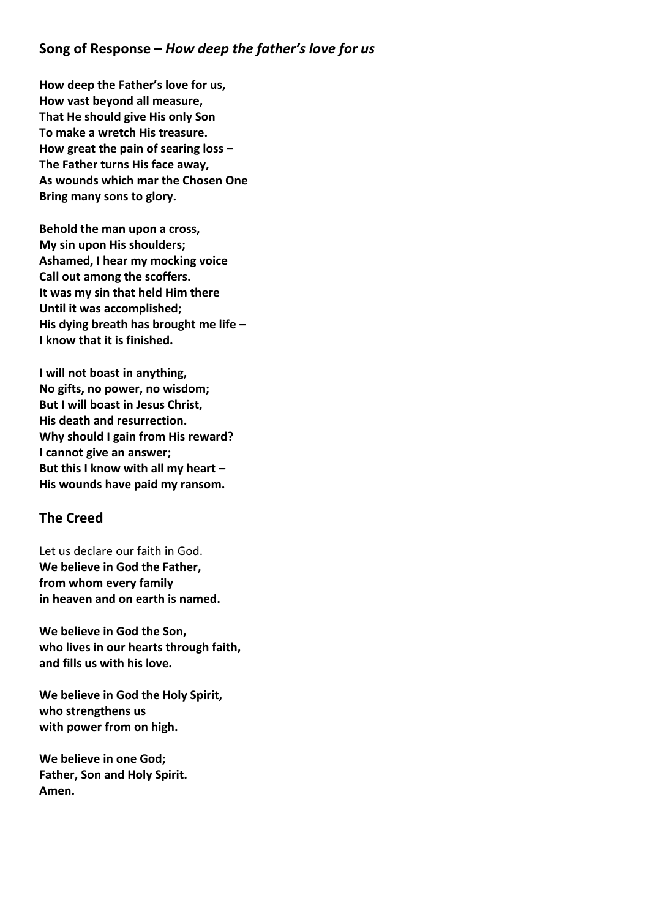#### **Song of Response –** *How deep the father's love for us*

**How deep the Father's love for us, How vast beyond all measure, That He should give His only Son To make a wretch His treasure. How great the pain of searing loss – The Father turns His face away, As wounds which mar the Chosen One Bring many sons to glory.**

**Behold the man upon a cross, My sin upon His shoulders; Ashamed, I hear my mocking voice Call out among the scoffers. It was my sin that held Him there Until it was accomplished; His dying breath has brought me life – I know that it is finished.**

**I will not boast in anything, No gifts, no power, no wisdom; But I will boast in Jesus Christ, His death and resurrection. Why should I gain from His reward? I cannot give an answer; But this I know with all my heart – His wounds have paid my ransom.**

#### **The Creed**

Let us declare our faith in God. **We believe in God the Father, from whom every family in heaven and on earth is named.**

**We believe in God the Son, who lives in our hearts through faith, and fills us with his love.**

**We believe in God the Holy Spirit, who strengthens us with power from on high.**

**We believe in one God; Father, Son and Holy Spirit. Amen.**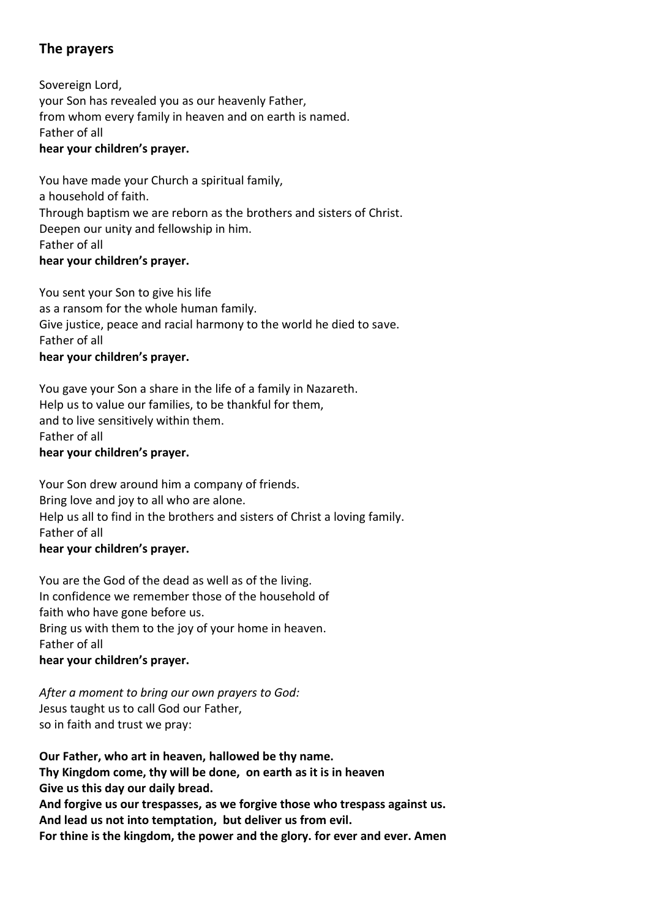### **The prayers**

Sovereign Lord, your Son has revealed you as our heavenly Father, from whom every family in heaven and on earth is named. Father of all **hear your children's prayer.**

You have made your Church a spiritual family, a household of faith. Through baptism we are reborn as the brothers and sisters of Christ. Deepen our unity and fellowship in him. Father of all **hear your children's prayer.**

You sent your Son to give his life as a ransom for the whole human family. Give justice, peace and racial harmony to the world he died to save. Father of all **hear your children's prayer.**

You gave your Son a share in the life of a family in Nazareth. Help us to value our families, to be thankful for them, and to live sensitively within them. Father of all **hear your children's prayer.**

Your Son drew around him a company of friends. Bring love and joy to all who are alone. Help us all to find in the brothers and sisters of Christ a loving family. Father of all **hear your children's prayer.**

You are the God of the dead as well as of the living. In confidence we remember those of the household of faith who have gone before us. Bring us with them to the joy of your home in heaven. Father of all **hear your children's prayer.**

*After a moment to bring our own prayers to God:* Jesus taught us to call God our Father, so in faith and trust we pray:

**Our Father, who art in heaven, hallowed be thy name. Thy Kingdom come, thy will be done, on earth as it is in heaven Give us this day our daily bread. And forgive us our trespasses, as we forgive those who trespass against us. And lead us not into temptation, but deliver us from evil. For thine is the kingdom, the power and the glory. for ever and ever. Amen**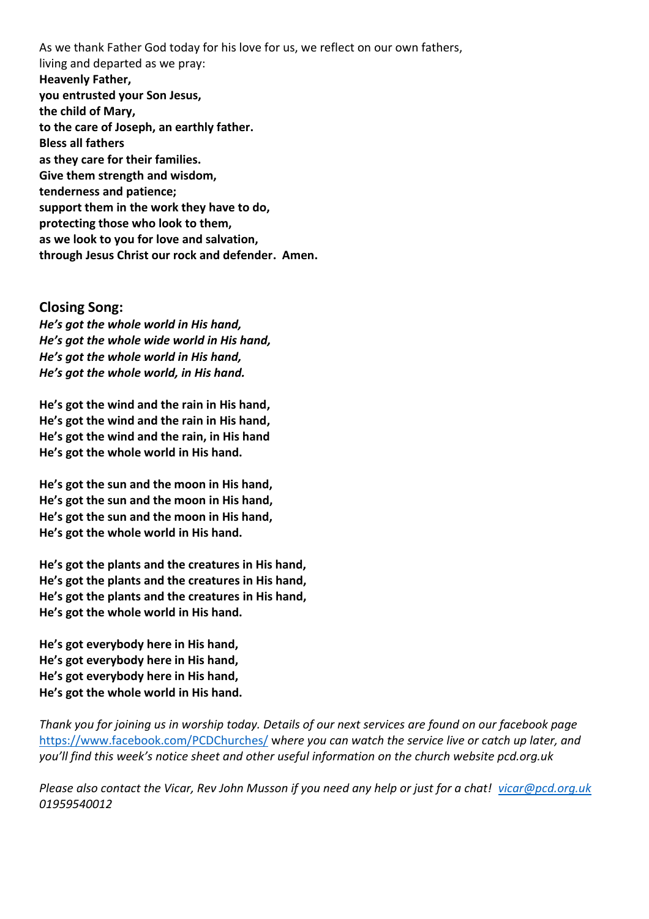As we thank Father God today for his love for us, we reflect on our own fathers, living and departed as we pray: **Heavenly Father, you entrusted your Son Jesus, the child of Mary, to the care of Joseph, an earthly father. Bless all fathers as they care for their families. Give them strength and wisdom, tenderness and patience; support them in the work they have to do, protecting those who look to them, as we look to you for love and salvation, through Jesus Christ our rock and defender. Amen.**

#### **Closing Song:**

*He's got the whole world in His hand, He's got the whole wide world in His hand, He's got the whole world in His hand, He's got the whole world, in His hand.*

**He's got the wind and the rain in His hand, He's got the wind and the rain in His hand, He's got the wind and the rain, in His hand He's got the whole world in His hand.**

**He's got the sun and the moon in His hand, He's got the sun and the moon in His hand, He's got the sun and the moon in His hand, He's got the whole world in His hand.**

**He's got the plants and the creatures in His hand, He's got the plants and the creatures in His hand, He's got the plants and the creatures in His hand, He's got the whole world in His hand.**

**He's got everybody here in His hand, He's got everybody here in His hand, He's got everybody here in His hand, He's got the whole world in His hand.**

*Thank you for joining us in worship today. Details of our next services are found on our facebook page*  <https://www.facebook.com/PCDChurches/> w*here you can watch the service live or catch up later, and you'll find this week's notice sheet and other useful information on the church website pcd.org.uk*

*Please also contact the Vicar, Rev John Musson if you need any help or just for a chat! [vicar@pcd.org.uk](mailto:vicar@pcd.org.uk) 01959540012*